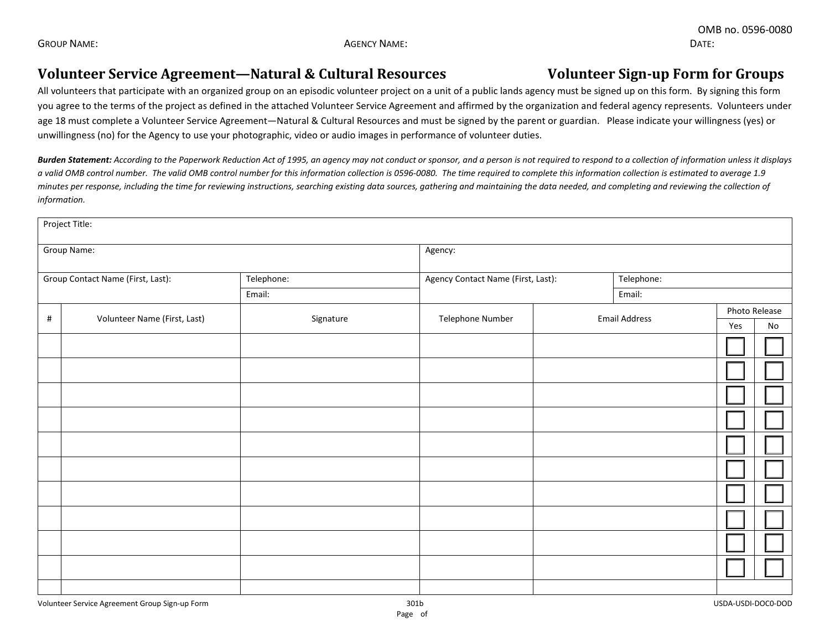## Volunteer Service Agreement—Natural & Cultural Resources Volunteer Sign-up Form for Groups

All volunteers that participate with an organized group on an episodic volunteer project on a unit of a public lands agency must be signed up on this form. By signing this form you agree to the terms of the project as defined in the attached Volunteer Service Agreement and affirmed by the organization and federal agency represents. Volunteers under age 18 must complete a Volunteer Service Agreement—Natural & Cultural Resources and must be signed by the parent or guardian. Please indicate your willingness (yes) or unwillingness (no) for the Agency to use your photographic, video or audio images in performance of volunteer duties.

*Burden Statement: According to the Paperwork Reduction Act of 1995, an agency may not conduct or sponsor, and a person is not required to respond to a collection of information unless it displays a valid OMB control number. The valid OMB control number for this information collection is 0596-0080. The time required to complete this information collection is estimated to average 1.9 minutes per response, including the time for reviewing instructions, searching existing data sources, gathering and maintaining the data needed, and completing and reviewing the collection of information.*

| Project Title:                    |                              |            |                                    |                      |               |  |  |  |  |  |  |
|-----------------------------------|------------------------------|------------|------------------------------------|----------------------|---------------|--|--|--|--|--|--|
| Group Name:                       |                              |            | Agency:                            |                      |               |  |  |  |  |  |  |
| Group Contact Name (First, Last): |                              | Telephone: | Agency Contact Name (First, Last): | Telephone:           |               |  |  |  |  |  |  |
|                                   |                              | Email:     |                                    | Email:               |               |  |  |  |  |  |  |
| $\#$                              | Volunteer Name (First, Last) | Signature  | Telephone Number                   | <b>Email Address</b> | Photo Release |  |  |  |  |  |  |
|                                   |                              |            |                                    |                      | Yes<br>No     |  |  |  |  |  |  |
|                                   |                              |            |                                    |                      |               |  |  |  |  |  |  |
|                                   |                              |            |                                    |                      |               |  |  |  |  |  |  |
|                                   |                              |            |                                    |                      |               |  |  |  |  |  |  |
|                                   |                              |            |                                    |                      |               |  |  |  |  |  |  |
|                                   |                              |            |                                    |                      |               |  |  |  |  |  |  |
|                                   |                              |            |                                    |                      |               |  |  |  |  |  |  |
|                                   |                              |            |                                    |                      |               |  |  |  |  |  |  |
|                                   |                              |            |                                    |                      |               |  |  |  |  |  |  |
|                                   |                              |            |                                    |                      |               |  |  |  |  |  |  |
|                                   |                              |            |                                    |                      |               |  |  |  |  |  |  |
|                                   |                              |            |                                    |                      |               |  |  |  |  |  |  |